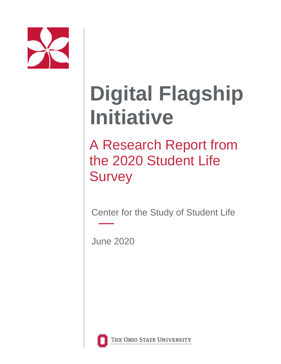

# **Digital Flagship Initiative**

A Research Report from the 2020 Student Life **Survey** 

Center for the Study of Student Life

June 2020



THE OHIO STATE UNIVERSITY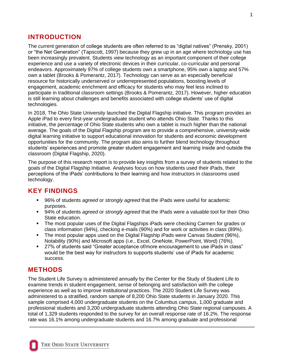# **INTRODUCTION**

The current generation of college students are often referred to as "digital natives" (Prensky, 2001) or "the Net Generation" (Tapscott, 1997) because they grew up in an age where technology use has been increasingly prevalent. Students view technology as an important component of their college experience and use a variety of electronic devices in their curricular, co-curricular and personal endeavors. Approximately 97% of college students own a smartphone, 95% own a laptop and 57% own a tablet (Brooks & Pomerantz, 2017). Technology can serve as an especially beneficial resource for historically underserved or underrepresented populations, boosting levels of engagement, academic enrichment and efficacy for students who may feel less inclined to participate in traditional classroom settings (Brooks & Pomerantz, 2017). However, higher education is still learning about challenges and benefits associated with college students' use of digital technologies.

In 2018, The Ohio State University launched the Digital Flagship initiative. This program provides an Apple iPad to every first-year undergraduate student who attends Ohio State. Thanks to this initiative, the percentage of Ohio State students who own a tablet is much higher than the national average. The goals of the Digital Flagship program are to provide a comprehensive, university-wide digital learning initiative to support educational innovation for students and economic development opportunities for the community. The program also aims to further blend technology throughout students' experiences and promote greater student engagement and learning inside and outside the classroom (Digital Flagship, 2020).

The purpose of this research report is to provide key insights from a survey of students related to the goals of the Digital Flagship Initiative. Analyses focus on how students used their iPads, their perceptions of the iPads' contributions to their learning and how instructors in classrooms used technology.

# **KEY FINDINGS**

- 96% of students *agreed* or *strongly agreed* that the iPads were useful for academic purposes.
- 94% of students *agreed* or *strongly agreed* that the iPads were a valuable tool for their Ohio State education.
- The most popular uses of the Digital Flagships iPads were checking Carmen for grades or class information (94%), checking e-mails (90%) and for work or activities in class (89%).
- The most popular apps used on the Digital Flagship iPads were Canvas Student (96%), Notability (90%) and Microsoft apps (i.e., Excel, OneNote, PowerPoint, Word) (76%).
- 27% of students said "Greater acceptance of/more encouragement to use iPads in class" would be the best way for instructors to supports students' use of iPads for academic success.

# **METHODS**

The Student Life Survey is administered annually by the Center for the Study of Student Life to examine trends in student engagement, sense of belonging and satisfaction with the college experience as well as to improve institutional practices. The 2020 Student Life Survey was administered to a stratified, random sample of 8,200 Ohio State students in January 2020. This sample comprised 4,000 undergraduate students on the Columbus campus, 1,000 graduate and professional students and 3,200 undergraduate students attending Ohio State regional campuses. A total of 1,329 students responded to the survey for an overall response rate of 16.2%. The response rate was 16.1% among undergraduate students and 16.7% among graduate and professional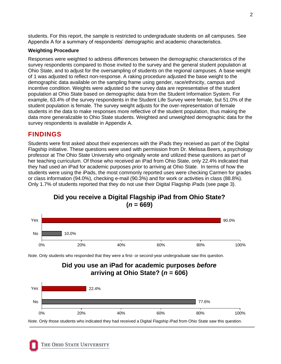students. For this report, the sample is restricted to undergraduate students on all campuses. See Appendix A for a summary of respondents' demographic and academic characteristics.

#### **Weighting Procedure**

Responses were weighted to address differences between the demographic characteristics of the survey respondents compared to those invited to the survey and the general student population at Ohio State, and to adjust for the oversampling of students on the regional campuses. A base weight of 1 was adjusted to reflect non-response. A raking procedure adjusted the base weight to the demographic data available on the sampling frame using gender, race/ethnicity, campus and incentive condition. Weights were adjusted so the survey data are representative of the student population at Ohio State based on demographic data from the Student Information System. For example, 63.4% of the survey respondents in the Student Life Survey were female, but 51.0% of the student population is female. The survey weight adjusts for the over-representation of female students in the data to make responses more reflective of the student population, thus making the data more generalizable to Ohio State students. Weighted and unweighted demographic data for the survey respondents is available in Appendix A.

# **FINDINGS**

Students were first asked about their experiences with the iPads they received as part of the Digital Flagship initiative. These questions were used with permission from Dr. Melissa Beers, a psychology professor at The Ohio State University who originally wrote and utilized these questions as part of her teaching curriculum. Of those who received an iPad from Ohio State, only 22.4% indicated that they had used an iPad for academic purposes *prior* to arriving at Ohio State. In terms of how the students were using the iPads, the most commonly reported uses were checking Carmen for grades or class information (94.0%), checking e-mail (90.3%) and for work or activities in class (88.8%). Only 1.7% of students reported that they do not use their Digital Flagship iPads (see page 3).



**Did you receive a Digital Flagship iPad from Ohio State?**   $(n = 669)$ 

*Note.* Only students who responded that they were a first- or second-year undergraduate saw this question.

**Did you use an iPad for academic purposes** *before* **arriving at Ohio State? (***n* **= 606)**



*Note.* Only those students who indicated they had received a Digital Flagship iPad from Ohio State saw this question.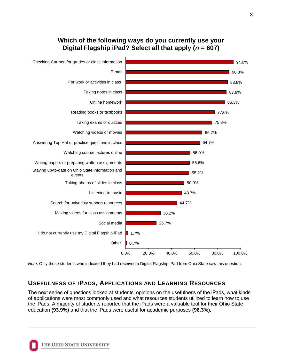# **Which of the following ways do you currently use your Digital Flagship iPad? Select all that apply (***n* **= 607)**



*Note*. Only those students who indicated they had received a Digital Flagship iPad from Ohio State saw this question.

# **USEFULNESS OF IPADS, APPLICATIONS AND LEARNING RESOURCES**

The next series of questions looked at students' opinions on the usefulness of the iPads, what kinds of applications were most commonly used and what resources students utilized to learn how to use the iPads. A majority of students reported that the iPads were a valuable tool for their Ohio State education **(93.9%)** and that the iPads were useful for academic purposes **(96.3%).**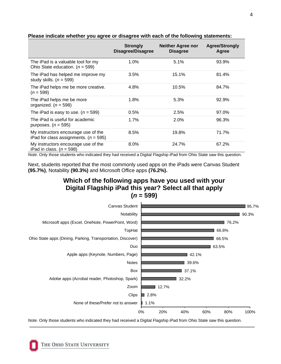|                                                                                  | <b>Strongly</b><br><b>Disagree/Disagree</b> | <b>Neither Agree nor</b><br><b>Disagree</b> | <b>Agree/Strongly</b><br>Agree |
|----------------------------------------------------------------------------------|---------------------------------------------|---------------------------------------------|--------------------------------|
| The iPad is a valuable tool for my<br>Ohio State education. ( $n = 599$ )        | 1.0%                                        | 5.1%                                        | 93.9%                          |
| The iPad has helped me improve my<br>study skills. $(n = 599)$                   | 3.5%                                        | 15.1%                                       | 81.4%                          |
| The iPad helps me be more creative.<br>$(n = 599)$                               | 4.8%                                        | 10.5%                                       | 84.7%                          |
| The iPad helps me be more<br>organized. ( $n = 598$ )                            | 1.8%                                        | 5.3%                                        | 92.9%                          |
| The iPad is easy to use. $(n = 599)$                                             | 0.5%                                        | 2.5%                                        | 97.0%                          |
| The iPad is useful for academic<br>purposes. $(n = 595)$                         | 1.7%                                        | 2.0%                                        | 96.3%                          |
| My instructors encourage use of the<br>iPad for class assignments. ( $n = 595$ ) | 8.5%                                        | 19.8%                                       | 71.7%                          |
| My instructors encourage use of the<br>iPad in class. $(n = 598)$                | 8.0%                                        | 24.7%                                       | 67.2%                          |

#### **Please indicate whether you agree or disagree with each of the following statements:**

*Note*. Only those students who indicated they had received a Digital Flagship iPad from Ohio State saw this question.

Next, students reported that the most commonly used apps on the iPads were Canvas Student **(95.7%)**, Notability **(90.3%)** and Microsoft Office apps **(76.2%).** 

# **Which of the following apps have you used with your Digital Flagship iPad this year? Select all that apply (***n* **= 599)**



*Note*. Only those students who indicated they had received a Digital Flagship iPad from Ohio State saw this question.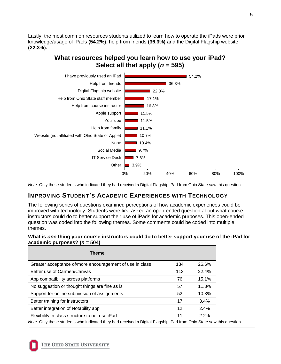Lastly, the most common resources students utilized to learn how to operate the iPads were prior knowledge/usage of iPads **(54.2%)**, help from friends **(36.3%)** and the Digital Flagship website **(22.3%).**

# **What resources helped you learn how to use your iPad? Select all that apply (***n* **= 595)**



*Note*. Only those students who indicated they had received a Digital Flagship iPad from Ohio State saw this question.

# **IMPROVING STUDENT'S ACADEMIC EXPERIENCES WITH TECHNOLOGY**

The following series of questions examined perceptions of how academic experiences could be improved with technology. Students were first asked an open-ended question about what course instructors could do to better support their use of iPads for academic purposes. This open-ended question was coded into the following themes. Some comments could be coded into multiple themes.

#### **What is** *one* **thing your course instructors could do to better support your use of the iPad for academic purposes? (***n* **= 504)**

| <b>Theme</b>                                                                                                         |     |       |
|----------------------------------------------------------------------------------------------------------------------|-----|-------|
| Greater acceptance of/more encouragement of use in class                                                             | 134 | 26.6% |
| Better use of Carmen/Canvas                                                                                          | 113 | 22.4% |
| App compatibility across platforms                                                                                   | 76  | 15.1% |
| No suggestion or thought things are fine as is                                                                       | 57  | 11.3% |
| Support for online submission of assignments                                                                         | 52  | 10.3% |
| Better training for instructors                                                                                      | 17  | 3.4%  |
| Better integration of Notability app                                                                                 | 12  | 2.4%  |
| Flexibility in class structure to not use iPad                                                                       | 11  | 2.2%  |
| Note. Only those students who indicated they had received a Digital Flagship iPad from Ohio State saw this question. |     |       |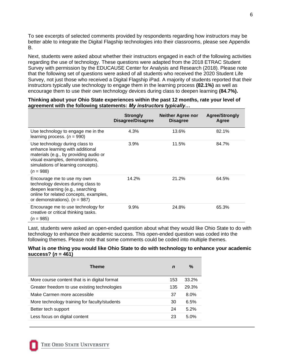To see excerpts of selected comments provided by respondents regarding how instructors may be better able to integrate the Digital Flagship technologies into their classrooms, please see Appendix B.

Next, students were asked about whether their instructors engaged in each of the following activities regarding the use of technology. These questions were adapted from the 2018 ETRAC Student Survey with permission by the EDUCAUSE Center for Analysis and Research (2018). Please note that the following set of questions were asked of all students who received the 2020 Student Life Survey, not just those who received a Digital Flagship iPad. A majority of students reported that their instructors typically use technology to engage them in the learning process **(82.1%)** as well as encourage them to use their own technology devices during class to deepen learning **(84.7%).**

|                                                                                                                                                                                                       | <b>Strongly</b><br><b>Disagree/Disagree</b> | <b>Neither Agree nor</b><br><b>Disagree</b> | <b>Agree/Strongly</b><br>Agree |
|-------------------------------------------------------------------------------------------------------------------------------------------------------------------------------------------------------|---------------------------------------------|---------------------------------------------|--------------------------------|
| Use technology to engage me in the<br>learning process. $(n = 990)$                                                                                                                                   | 4.3%                                        | 13.6%                                       | 82.1%                          |
| Use technology during class to<br>enhance learning with additional<br>materials (e.g., by providing audio or<br>visual examples, demonstrations,<br>simulations of learning concepts).<br>$(n = 988)$ | 3.9%                                        | 11.5%                                       | 84.7%                          |
| Encourage me to use my own<br>technology devices during class to<br>deepen learning (e.g., searching<br>online for related concepts, examples,<br>or demonstrations). ( $n = 987$ )                   | 14.2%                                       | 21.2%                                       | 64.5%                          |
| Encourage me to use technology for<br>creative or critical thinking tasks.<br>$(n = 985)$                                                                                                             | 9.9%                                        | 24.8%                                       | 65.3%                          |

#### **Thinking about your Ohio State experiences within the past 12 months, rate your level of agreement with the following statements:** *My instructors typically…*

Last, students were asked an open-ended question about what they would like Ohio State to do with technology to enhance their academic success. This open-ended question was coded into the following themes. Please note that some comments could be coded into multiple themes.

#### **What is** *one* **thing you would like Ohio State to do with technology to enhance your academic success? (***n* **= 461)**

| Theme                                         | n   | %       |
|-----------------------------------------------|-----|---------|
| More course content that is in digital format | 153 | 33.2%   |
| Greater freedom to use existing technologies  | 135 | 29.3%   |
| Make Carmen more accessible                   | 37  | $8.0\%$ |
| More technology training for faculty/students | 30  | 6.5%    |
| Better tech support                           | 24  | 5.2%    |
| Less focus on digital content                 | 23  | 5.0%    |
|                                               |     |         |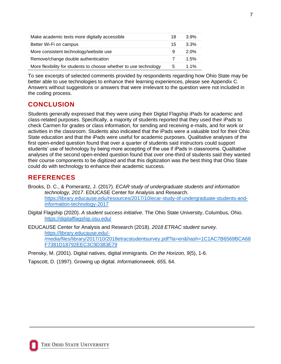| Make academic texts more digitally accessible                     | 18  | $3.9\%$ |
|-------------------------------------------------------------------|-----|---------|
| Better Wi-Fi on campus                                            | 15. | $3.3\%$ |
| More consistent technology/website use                            | 9   | 2.0%    |
| Remove/change double authentication                               | 7   | 1.5%    |
| More flexibility for students to choose whether to use technology | 5   | 1.1%    |

To see excerpts of selected comments provided by respondents regarding how Ohio State may be better able to use technologies to enhance their learning experiences, please see Appendix C. Answers without suggestions or answers that were irrelevant to the question were not included in the coding process.

# **CONCLUSION**

Students generally expressed that they were using their Digital Flagship iPads for academic and class-related purposes. Specifically, a majority of students reported that they used their iPads to check Carmen for grades or class information, for sending and receiving e-mails, and for work or activities in the classroom. Students also indicated that the iPads were a valuable tool for their Ohio State education and that the iPads were useful for academic purposes. Qualitative analyses of the first open-ended question found that over a quarter of students said instructors could support students' use of technology by being more accepting of the use if iPads in classrooms. Qualitative analyses of the second open-ended question found that over one-third of students said they wanted their course components to be digitized and that this digitization was the best thing that Ohio State could do with technology to enhance their academic success.

# **REFERENCES**

Brooks, D. C., & Pomerantz, J. (2017). *ECAR study of undergraduate students and information technology, 2017*. EDUCASE Center for Analysis and Research. [https://library.educause.edu/resources/2017/10/ecar-study-of-undergraduate-students-and](https://library.educause.edu/resources/2017/10/ecar-study-of-undergraduate-students-and-information-technology-2017)[information-technology-2017](https://library.educause.edu/resources/2017/10/ecar-study-of-undergraduate-students-and-information-technology-2017)

Digital Flagship (2020). *A student success initiative*. The Ohio State University, Columbus, Ohio. <https://digitalflagship.osu.edu/>

EDUCAUSE Center for Analysis and Research (2018). *2018 ETRAC student survey*. [https://library.educause.edu/-](https://library.educause.edu/-/media/files/library/2017/10/2018etracstudentsurvey.pdf?la=en&hash=1C1AC7B6569BCA68F7381D18792EEC3C9D383E79) [/media/files/library/2017/10/2018etracstudentsurvey.pdf?la=en&hash=1C1AC7B6569BCA68](https://library.educause.edu/-/media/files/library/2017/10/2018etracstudentsurvey.pdf?la=en&hash=1C1AC7B6569BCA68F7381D18792EEC3C9D383E79) [F7381D18792EEC3C9D383E79](https://library.educause.edu/-/media/files/library/2017/10/2018etracstudentsurvey.pdf?la=en&hash=1C1AC7B6569BCA68F7381D18792EEC3C9D383E79)

Prensky, M. (2001). Digital natives, digital immigrants. *On the Horizon, 9*(5), 1-6.

Tapscott, D. (1997). Growing up digital. *Informationweek, 655,* 64.

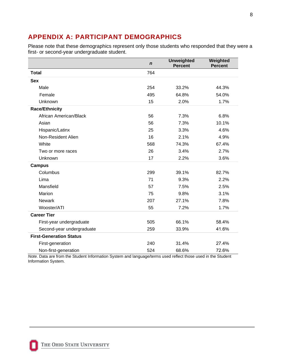# **APPENDIX A: PARTICIPANT DEMOGRAPHICS**

Please note that these demographics represent only those students who responded that they were a first- or second-year undergraduate student.

|                                | $\boldsymbol{n}$ | <b>Unweighted</b><br><b>Percent</b> | Weighted<br><b>Percent</b> |
|--------------------------------|------------------|-------------------------------------|----------------------------|
| <b>Total</b>                   | 764              |                                     |                            |
| <b>Sex</b>                     |                  |                                     |                            |
| Male                           | 254              | 33.2%                               | 44.3%                      |
| Female                         | 495              | 64.8%                               | 54.0%                      |
| Unknown                        | 15               | 2.0%                                | 1.7%                       |
| <b>Race/Ethnicity</b>          |                  |                                     |                            |
| African American/Black         | 56               | 7.3%                                | 6.8%                       |
| Asian                          | 56               | 7.3%                                | 10.1%                      |
| Hispanic/Latinx                | 25               | 3.3%                                | 4.6%                       |
| Non-Resident Alien             | 16               | 2.1%                                | 4.9%                       |
| White                          | 568              | 74.3%                               | 67.4%                      |
| Two or more races              | 26               | 3.4%                                | 2.7%                       |
| Unknown                        | 17               | 2.2%                                | 3.6%                       |
| <b>Campus</b>                  |                  |                                     |                            |
| Columbus                       | 299              | 39.1%                               | 82.7%                      |
| Lima                           | 71               | 9.3%                                | 2.2%                       |
| Mansfield                      | 57               | 7.5%                                | 2.5%                       |
| Marion                         | 75               | 9.8%                                | 3.1%                       |
| <b>Newark</b>                  | 207              | 27.1%                               | 7.8%                       |
| Wooster/ATI                    | 55               | 7.2%                                | 1.7%                       |
| <b>Career Tier</b>             |                  |                                     |                            |
| First-year undergraduate       | 505              | 66.1%                               | 58.4%                      |
| Second-year undergraduate      | 259              | 33.9%                               | 41.6%                      |
| <b>First-Generation Status</b> |                  |                                     |                            |
| First-generation               | 240              | 31.4%                               | 27.4%                      |
| Non-first-generation           | 524              | 68.6%                               | 72.6%                      |

*Note.* Data are from the Student Information System and language/terms used reflect those used in the Student Information System.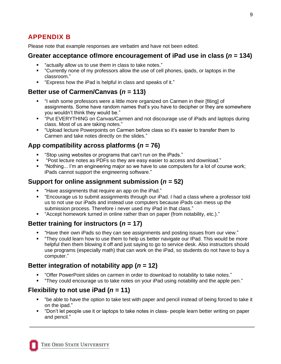# **APPENDIX B**

Please note that example responses are verbatim and have not been edited.

#### **Greater acceptance of/more encouragement of iPad use in class (***n* **= 134)**

- "actually allow us to use them in class to take notes."
- "Currently none of my professors allow the use of cell phones, ipads, or laptops in the classroom."
- "Express how the iPad is helpful in class and speaks of it."

#### **Better use of Carmen/Canvas (***n* **= 113)**

- "I wish some professors were a little more organized on Carmen in their [filing] of assignments. Some have random names that's you have to decipher or they are somewhere you wouldn't think they would be."
- "Put EVERYTHING on Canvas/Carmen and not discourage use of iPads and laptops during class. Most of us are taking notes."
- "Upload lecture Powerpoints on Carmen before class so it's easier to transfer them to Carmen and take notes directly on the slides."

# **App compatibility across platforms (***n* **= 76)**

- "Stop using websites or programs that can't run on the iPads."
- "Post lecture notes as PDFs so they are easy easier to access and download."
- "Nothing... I'm an engineering major so we have to use computers for a lot of course work; iPads cannot support the engineering software."

## **Support for online assignment submission (***n* **= 52)**

- "Have assignments that require an app on the iPad."
- "Encourage us to submit assignments through our iPad. I had a class where a professor told us to not use our iPads and instead use computers because iPads can mess up the submission process. Therefore i never used my iPad in that class."
- "Accept homework turned in online rather than on paper (from notability, etc.)."

# **Better training for instructors (***n* **= 17)**

- "Have their own iPads so they can see assignments and posting issues from our view."
- "They could learn how to use them to help us better navigate our IPad. This would be more helpful then them blowing it off and just saying to go to service desk. Also instructors should use programs (especially math) that can work on the iPad, so students do not have to buy a computer."

## **Better integration of notability app (***n* **= 12)**

- "Offer PowerPoint slides on carmen in order to download to notability to take notes."
- "They could encourage us to take notes on your iPad using notability and the apple pen."

# **Flexibility to not use iPad (***n* **= 11)**

- "be able to have the option to take test with paper and pencil instead of being forced to take it on the ipad."
- "Don't let people use it or laptops to take notes in class- people learn better writing on paper and pencil."